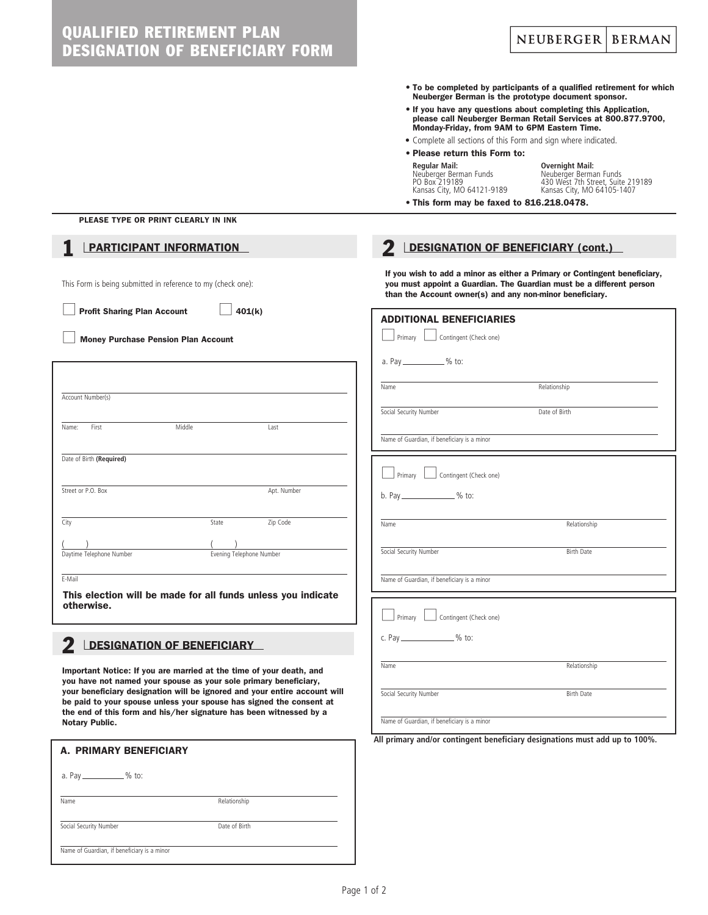| <b>QUALIFIED RETIREMENT PLAN</b><br>NEUBERGER   BERMAN<br><b>DESIGNATION OF BENEFICIARY FORM</b>                                                                                                                                                                                                                                                                                                                                                                                                                                                                                                                                                                                 |                                                                                                                                                                                                               |  |
|----------------------------------------------------------------------------------------------------------------------------------------------------------------------------------------------------------------------------------------------------------------------------------------------------------------------------------------------------------------------------------------------------------------------------------------------------------------------------------------------------------------------------------------------------------------------------------------------------------------------------------------------------------------------------------|---------------------------------------------------------------------------------------------------------------------------------------------------------------------------------------------------------------|--|
| • To be completed by participants of a qualified retirement for which<br>Neuberger Berman is the prototype document sponsor.<br>• If you have any questions about completing this Application,<br>please call Neuberger Berman Retail Services at 800.877.9700,<br>Monday-Friday, from 9AM to 6PM Eastern Time.<br>• Complete all sections of this Form and sign where indicated.<br>• Please return this Form to:<br><b>Overnight Mail:</b><br>Regular Mail:<br>Neuberger Berman Funds<br>PO Box 219189<br>Neuberger Berman Funds<br>430 West 7th Street, Suite 219189<br>Kansas City, MO 64121-9189<br>Kansas City, MO 64105-1407<br>• This form may be faxed to 816.218.0478. |                                                                                                                                                                                                               |  |
| PLEASE TYPE OR PRINT CLEARLY IN INK                                                                                                                                                                                                                                                                                                                                                                                                                                                                                                                                                                                                                                              |                                                                                                                                                                                                               |  |
| <b>PARTICIPANT INFORMATION</b><br><b>DESIGNATION OF BENEFICIARY (cont.)</b>                                                                                                                                                                                                                                                                                                                                                                                                                                                                                                                                                                                                      |                                                                                                                                                                                                               |  |
| This Form is being submitted in reference to my (check one):                                                                                                                                                                                                                                                                                                                                                                                                                                                                                                                                                                                                                     | If you wish to add a minor as either a Primary or Contingent beneficiary,<br>you must appoint a Guardian. The Guardian must be a different person<br>than the Account owner(s) and any non-minor beneficiary. |  |
| <b>Profit Sharing Plan Account</b><br>401(k)<br><b>ADDITIONAL BENEFICIARIES</b>                                                                                                                                                                                                                                                                                                                                                                                                                                                                                                                                                                                                  |                                                                                                                                                                                                               |  |
| Contingent (Check one)<br>Primary  <br><b>Money Purchase Pension Plan Account</b>                                                                                                                                                                                                                                                                                                                                                                                                                                                                                                                                                                                                |                                                                                                                                                                                                               |  |
| a. Pay _____________% to:                                                                                                                                                                                                                                                                                                                                                                                                                                                                                                                                                                                                                                                        |                                                                                                                                                                                                               |  |
|                                                                                                                                                                                                                                                                                                                                                                                                                                                                                                                                                                                                                                                                                  |                                                                                                                                                                                                               |  |
| Relationship<br>Name<br>Account Number(s)                                                                                                                                                                                                                                                                                                                                                                                                                                                                                                                                                                                                                                        |                                                                                                                                                                                                               |  |
| Social Security Number<br>Date of Birth<br>First<br>Middle<br>Name:<br>Last                                                                                                                                                                                                                                                                                                                                                                                                                                                                                                                                                                                                      |                                                                                                                                                                                                               |  |
| Name of Guardian, if beneficiary is a minor                                                                                                                                                                                                                                                                                                                                                                                                                                                                                                                                                                                                                                      |                                                                                                                                                                                                               |  |
| Date of Birth (Required)                                                                                                                                                                                                                                                                                                                                                                                                                                                                                                                                                                                                                                                         |                                                                                                                                                                                                               |  |
| Contingent (Check one)<br>Primary<br>Street or P.O. Box<br>Apt. Number                                                                                                                                                                                                                                                                                                                                                                                                                                                                                                                                                                                                           |                                                                                                                                                                                                               |  |
| b. Pay _______________% to:                                                                                                                                                                                                                                                                                                                                                                                                                                                                                                                                                                                                                                                      |                                                                                                                                                                                                               |  |
| Zip Code<br>City<br>State<br>Relationship<br>Name                                                                                                                                                                                                                                                                                                                                                                                                                                                                                                                                                                                                                                |                                                                                                                                                                                                               |  |
| Social Security Number<br><b>Birth Date</b><br>Daytime Telephone Number<br>Evening Telephone Number                                                                                                                                                                                                                                                                                                                                                                                                                                                                                                                                                                              |                                                                                                                                                                                                               |  |
| E-Mail<br>Name of Guardian, if beneficiary is a minor                                                                                                                                                                                                                                                                                                                                                                                                                                                                                                                                                                                                                            |                                                                                                                                                                                                               |  |
| This election will be made for all funds unless you indicate                                                                                                                                                                                                                                                                                                                                                                                                                                                                                                                                                                                                                     |                                                                                                                                                                                                               |  |
| otherwise.<br>Contingent (Check one)<br>Primary                                                                                                                                                                                                                                                                                                                                                                                                                                                                                                                                                                                                                                  |                                                                                                                                                                                                               |  |
| c. Pay _______________% to:<br><b>DESIGNATION OF BENEFICIARY</b>                                                                                                                                                                                                                                                                                                                                                                                                                                                                                                                                                                                                                 |                                                                                                                                                                                                               |  |
| Name<br>Relationship                                                                                                                                                                                                                                                                                                                                                                                                                                                                                                                                                                                                                                                             |                                                                                                                                                                                                               |  |
| Important Notice: If you are married at the time of your death, and<br>you have not named your spouse as your sole primary beneficiary,<br>your beneficiary designation will be ignored and your entire account will                                                                                                                                                                                                                                                                                                                                                                                                                                                             |                                                                                                                                                                                                               |  |
| Social Security Number<br><b>Birth Date</b><br>be paid to your spouse unless your spouse has signed the consent at<br>the end of this form and his/her signature has been witnessed by a                                                                                                                                                                                                                                                                                                                                                                                                                                                                                         |                                                                                                                                                                                                               |  |
| Name of Guardian, if beneficiary is a minor<br>Notary Public.                                                                                                                                                                                                                                                                                                                                                                                                                                                                                                                                                                                                                    |                                                                                                                                                                                                               |  |
| All primary and/or contingent beneficiary designations must add up to 100%.<br><b>A. PRIMARY BENEFICIARY</b>                                                                                                                                                                                                                                                                                                                                                                                                                                                                                                                                                                     |                                                                                                                                                                                                               |  |
| a. Pay ______________% to:                                                                                                                                                                                                                                                                                                                                                                                                                                                                                                                                                                                                                                                       |                                                                                                                                                                                                               |  |

Name Relationship

Social Security Number Date of Birth

Name of Guardian, if beneficiary is a minor